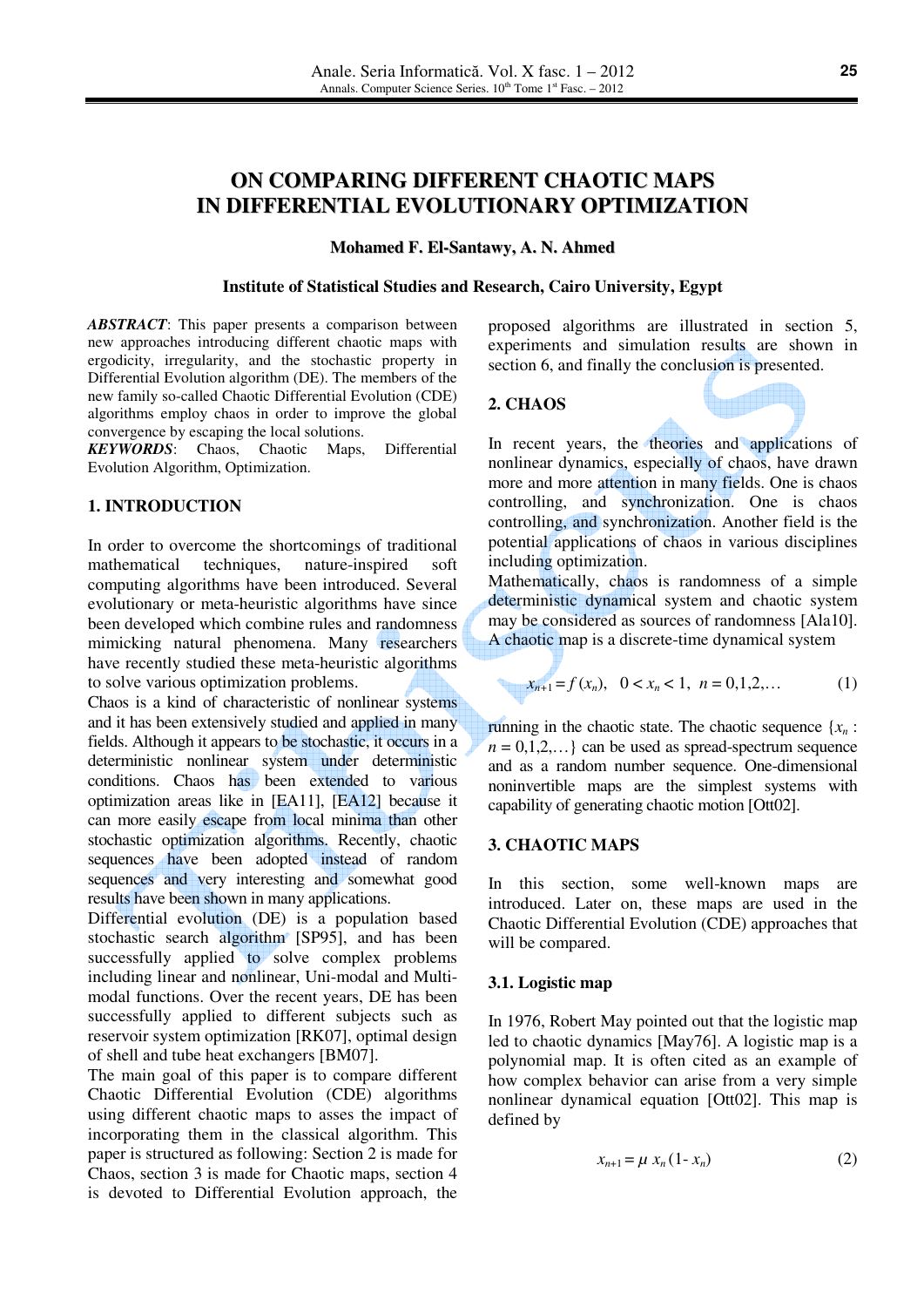# **ON COMPARING DIFFERENT CHAOTIC MAPS IN DIFFERENTIAL EVOLUTIONARY OPTIMIZATION**

#### **Mohamed F. El-Santawy, A. N. Ahmed**

#### **Institute of Statistical Studies and Research, Cairo University, Egypt**

*ABSTRACT*: This paper presents a comparison between new approaches introducing different chaotic maps with ergodicity, irregularity, and the stochastic property in Differential Evolution algorithm (DE). The members of the new family so-called Chaotic Differential Evolution (CDE) algorithms employ chaos in order to improve the global convergence by escaping the local solutions.

*KEYWORDS*: Chaos, Chaotic Maps, Differential Evolution Algorithm, Optimization.

# **1. INTRODUCTION**

In order to overcome the shortcomings of traditional mathematical techniques, nature-inspired soft computing algorithms have been introduced. Several evolutionary or meta-heuristic algorithms have since been developed which combine rules and randomness mimicking natural phenomena. Many researchers have recently studied these meta-heuristic algorithms to solve various optimization problems.

Chaos is a kind of characteristic of nonlinear systems and it has been extensively studied and applied in many fields. Although it appears to be stochastic, it occurs in a deterministic nonlinear system under deterministic conditions. Chaos has been extended to various optimization areas like in [EA11], [EA12] because it can more easily escape from local minima than other stochastic optimization algorithms. Recently, chaotic sequences have been adopted instead of random sequences and very interesting and somewhat good results have been shown in many applications.

Differential evolution (DE) is a population based stochastic search algorithm [SP95], and has been successfully applied to solve complex problems including linear and nonlinear, Uni-modal and Multimodal functions. Over the recent years, DE has been successfully applied to different subjects such as reservoir system optimization [RK07], optimal design of shell and tube heat exchangers [BM07].

The main goal of this paper is to compare different Chaotic Differential Evolution (CDE) algorithms using different chaotic maps to asses the impact of incorporating them in the classical algorithm. This paper is structured as following: Section 2 is made for Chaos, section 3 is made for Chaotic maps, section 4 is devoted to Differential Evolution approach, the proposed algorithms are illustrated in section 5, experiments and simulation results are shown in section 6, and finally the conclusion is presented.

#### **2. CHAOS**



In recent years, the theories and applications of nonlinear dynamics, especially of chaos, have drawn more and more attention in many fields. One is chaos controlling, and synchronization. One is chaos controlling, and synchronization. Another field is the potential applications of chaos in various disciplines including optimization.

Mathematically, chaos is randomness of a simple deterministic dynamical system and chaotic system may be considered as sources of randomness [Ala10]. A chaotic map is a discrete-time dynamical system

$$
x_{n+1} = f(x_n), \quad 0 < x_n < 1, \quad n = 0, 1, 2, \dots \tag{1}
$$

running in the chaotic state. The chaotic sequence {*xn* :  $n = 0,1,2,...$  can be used as spread-spectrum sequence and as a random number sequence. One-dimensional noninvertible maps are the simplest systems with capability of generating chaotic motion [Ott02].

## **3. CHAOTIC MAPS**

In this section, some well-known maps are introduced. Later on, these maps are used in the Chaotic Differential Evolution (CDE) approaches that will be compared.

#### **3.1. Logistic map**

In 1976, Robert May pointed out that the logistic map led to chaotic dynamics [May76]. A logistic map is a polynomial map. It is often cited as an example of how complex behavior can arise from a very simple nonlinear dynamical equation [Ott02]. This map is defined by

$$
x_{n+1} = \mu x_n (1 - x_n) \tag{2}
$$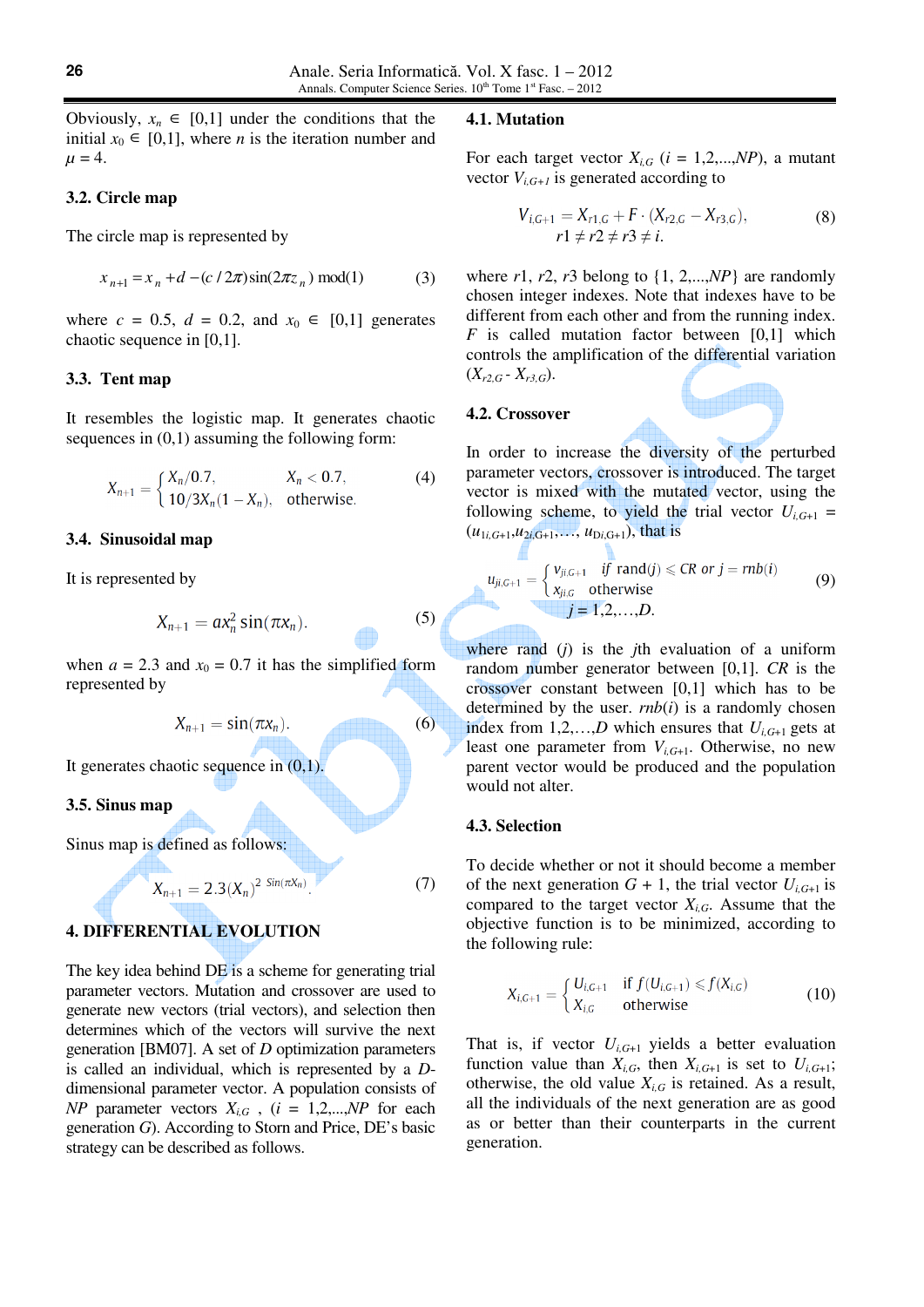#### **3.2. Circle map**

The circle map is represented by

$$
x_{n+1} = x_n + d - (c/2\pi)\sin(2\pi z_n) \text{ mod}(1)
$$
 (3)

where  $c = 0.5$ ,  $d = 0.2$ , and  $x_0 \in [0,1]$  generates chaotic sequence in [0,1].

#### **3.3. Tent map**

It resembles the logistic map. It generates chaotic sequences in  $(0,1)$  assuming the following form:

$$
X_{n+1} = \begin{cases} X_n/0.7, & X_n < 0.7, \\ 10/3X_n(1 - X_n), & \text{otherwise.} \end{cases}
$$
 (4)

#### **3.4. Sinusoidal map**

It is represented by

$$
X_{n+1} = a x_n^2 \sin(\pi x_n). \tag{5}
$$

when  $a = 2.3$  and  $x_0 = 0.7$  it has the simplified form represented by

$$
X_{n+1} = \sin(\pi x_n). \tag{6}
$$

It generates chaotic sequence in  $(0,1)$ .

## **3.5. Sinus map**

Sinus map is defined as follows:

$$
X_{n+1} = 2.3(X_n)^{2 \sin(\pi X_n)}.
$$
 (7)

# **4. DIFFERENTIAL EVOLUTION**

The key idea behind DE is a scheme for generating trial parameter vectors. Mutation and crossover are used to generate new vectors (trial vectors), and selection then determines which of the vectors will survive the next generation [BM07]. A set of *D* optimization parameters is called an individual, which is represented by a *D*dimensional parameter vector. A population consists of *NP* parameter vectors  $X_{i,G}$ ,  $(i = 1,2,...,NP$  for each generation *G*). According to Storn and Price, DE's basic strategy can be described as follows.

#### **4.1. Mutation**

For each target vector  $X_{i,G}$  ( $i = 1,2,...,NP$ ), a mutant vector  $V_{i,G+1}$  is generated according to

$$
V_{i,G+1} = X_{r1,G} + F \cdot (X_{r2,G} - X_{r3,G}),
$$
  
\n
$$
r1 \neq r2 \neq r3 \neq i.
$$
 (8)

where  $r1$ ,  $r2$ ,  $r3$  belong to  $\{1, 2,..., NP\}$  are randomly chosen integer indexes. Note that indexes have to be different from each other and from the running index. *F* is called mutation factor between [0,1] which controls the amplification of the differential variation  $(X_{r2,G} - X_{r3,G}).$ 

#### **4.2. Crossover**

In order to increase the diversity of the perturbed parameter vectors, crossover is introduced. The target vector is mixed with the mutated vector, using the following scheme, to yield the trial vector  $U_{i,G+1}$  =  $(u_{1i,G+1}, u_{2i,G+1}, \ldots, u_{Di,G+1})$ , that is

$$
u_{ji,G+1} = \begin{cases} v_{ji,G+1} & \text{if } \text{rand}(j) \leqslant CR \text{ or } j = rnb(i) \\ x_{ji,G} & \text{otherwise} \end{cases}
$$
 (9)  
 $j = 1,2,...,D.$ 

where rand (*j*) is the *j*th evaluation of a uniform random number generator between [0,1]. *CR* is the crossover constant between [0,1] which has to be determined by the user.  $rnb(i)$  is a randomly chosen index from 1,2,...,D which ensures that  $U_{i,G+1}$  gets at least one parameter from *Vi,G*+1. Otherwise, no new parent vector would be produced and the population would not alter.

#### **4.3. Selection**

To decide whether or not it should become a member of the next generation  $G + 1$ , the trial vector  $U_{i, G+1}$  is compared to the target vector  $X_{i,G}$ . Assume that the objective function is to be minimized, according to the following rule:

$$
X_{i,G+1} = \begin{cases} U_{i,G+1} & \text{if } f(U_{i,G+1}) \le f(X_{i,G}) \\ X_{i,G} & \text{otherwise} \end{cases} \tag{10}
$$

That is, if vector  $U_{i, G+1}$  yields a better evaluation function value than  $X_{i,G}$ , then  $X_{i,G+1}$  is set to  $U_{i,G+1}$ ; otherwise, the old value  $X_{i,G}$  is retained. As a result, all the individuals of the next generation are as good as or better than their counterparts in the current generation.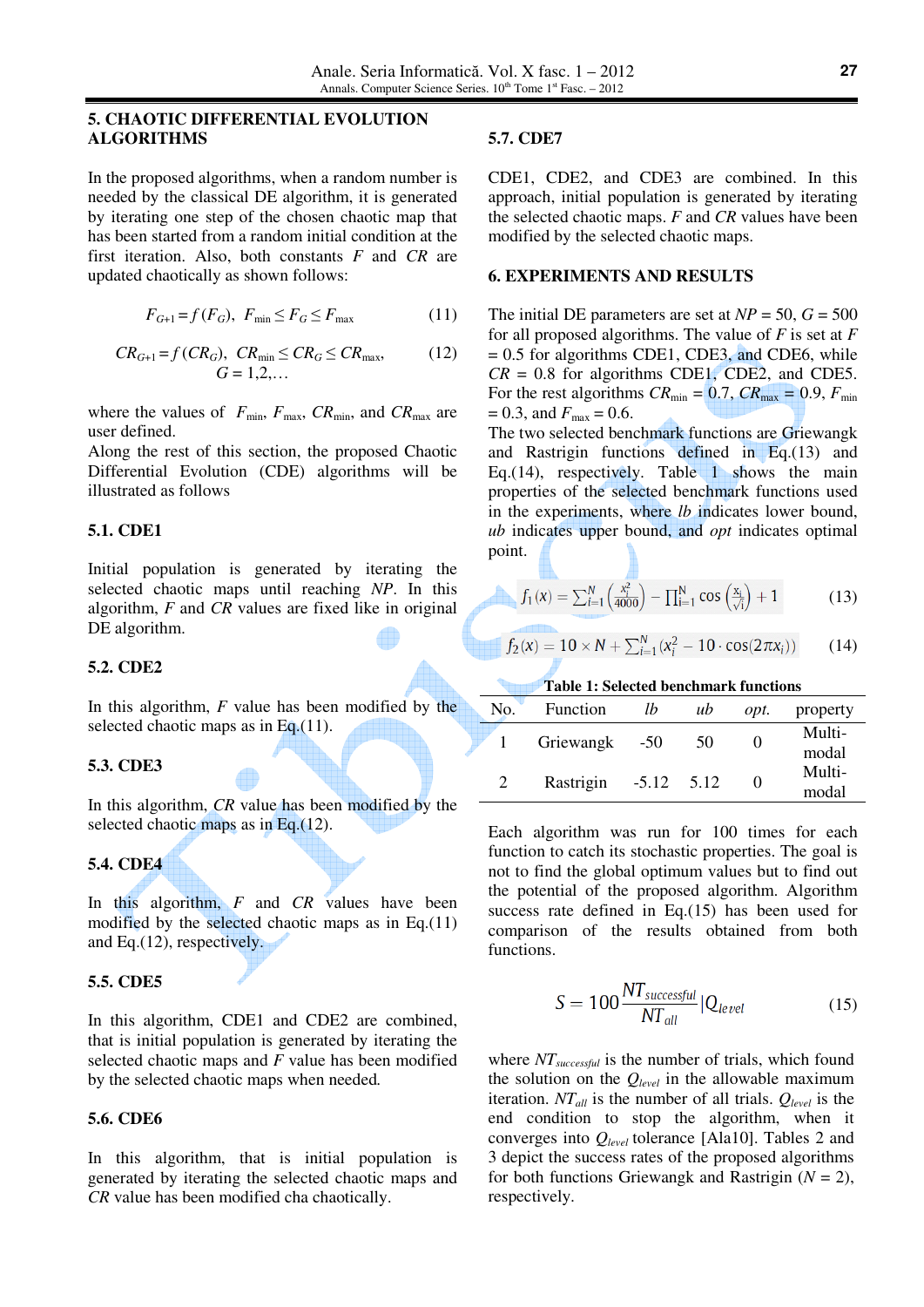## **5. CHAOTIC DIFFERENTIAL EVOLUTION ALGORITHMS**

In the proposed algorithms, when a random number is needed by the classical DE algorithm, it is generated by iterating one step of the chosen chaotic map that has been started from a random initial condition at the first iteration. Also, both constants *F* and *CR* are updated chaotically as shown follows:

$$
F_{G+1} = f(F_G), \ F_{\min} \le F_G \le F_{\max} \tag{11}
$$

$$
CR_{G+1} = f(CR_G), \quad CR_{\min} \le CR_G \le CR_{\max}, \tag{12}
$$

$$
G = 1, 2, \dots
$$

where the values of  $F_{\text{min}}$ ,  $F_{\text{max}}$ ,  $CR_{\text{min}}$ , and  $CR_{\text{max}}$  are user defined.

Along the rest of this section, the proposed Chaotic Differential Evolution (CDE) algorithms will be illustrated as follows

## **5.1. CDE1**

Initial population is generated by iterating the selected chaotic maps until reaching *NP*. In this algorithm, *F* and *CR* values are fixed like in original DE algorithm.

## **5.2. CDE2**

In this algorithm, *F* value has been modified by the selected chaotic maps as in Eq.(11).

## **5.3. CDE3**

In this algorithm, *CR* value has been modified by the selected chaotic maps as in Eq.(12).

# **5.4. CDE4**

In this algorithm, *F* and *CR* values have been modified by the selected chaotic maps as in Eq.(11) and Eq.(12), respectively.

## **5.5. CDE5**

In this algorithm, CDE1 and CDE2 are combined, that is initial population is generated by iterating the selected chaotic maps and *F* value has been modified by the selected chaotic maps when needed*.*

## **5.6. CDE6**

In this algorithm, that is initial population is generated by iterating the selected chaotic maps and *CR* value has been modified cha chaotically.

## **5.7. CDE7**

CDE1, CDE2, and CDE3 are combined. In this approach, initial population is generated by iterating the selected chaotic maps. *F* and *CR* values have been modified by the selected chaotic maps.

## **6. EXPERIMENTS AND RESULTS**

The initial DE parameters are set at  $NP = 50$ ,  $G = 500$ for all proposed algorithms. The value of *F* is set at *F* = 0.5 for algorithms CDE1, CDE3, and CDE6, while  $CR = 0.8$  for algorithms CDE1, CDE2, and CDE5. For the rest algorithms  $CR_{\text{min}} = 0.7$ ,  $CR_{\text{max}} = 0.9$ ,  $F_{\text{min}}$  $= 0.3$ , and  $F_{\text{max}} = 0.6$ .

The two selected benchmark functions are Griewangk and Rastrigin functions defined in Eq.(13) and Eq.(14), respectively. Table 1 shows the main properties of the selected benchmark functions used in the experiments, where *lb* indicates lower bound, *ub* indicates upper bound, and *opt* indicates optimal point.

$$
f_1(x) = \sum_{i=1}^{N} \left( \frac{x_i^2}{4000} \right) - \prod_{i=1}^{N} \cos \left( \frac{x_i}{\sqrt{i}} \right) + 1 \tag{13}
$$

$$
f_2(x) = 10 \times N + \sum_{i=1}^{N} (x_i^2 - 10 \cdot \cos(2\pi x_i))
$$
 (14)

#### **Table 1: Selected benchmark functions**

| No. | Function  | Ib      | ub   | opt. | property        |
|-----|-----------|---------|------|------|-----------------|
|     | Griewangk | $-50$   | 50   |      | Multi-<br>modal |
|     | Rastrigin | $-5.12$ | 5.12 |      | Multi-<br>modal |

Each algorithm was run for 100 times for each function to catch its stochastic properties. The goal is not to find the global optimum values but to find out the potential of the proposed algorithm. Algorithm success rate defined in Eq.(15) has been used for comparison of the results obtained from both functions.

$$
S = 100 \frac{NT_{successful}}{NT_{all}} |Q_{level}
$$
 (15)

where *NTsuccessful* is the number of trials, which found the solution on the *Qlevel* in the allowable maximum iteration. *NTall* is the number of all trials. *Qlevel* is the end condition to stop the algorithm, when it converges into *Qlevel* tolerance [Ala10]. Tables 2 and 3 depict the success rates of the proposed algorithms for both functions Griewangk and Rastrigin  $(N = 2)$ , respectively.